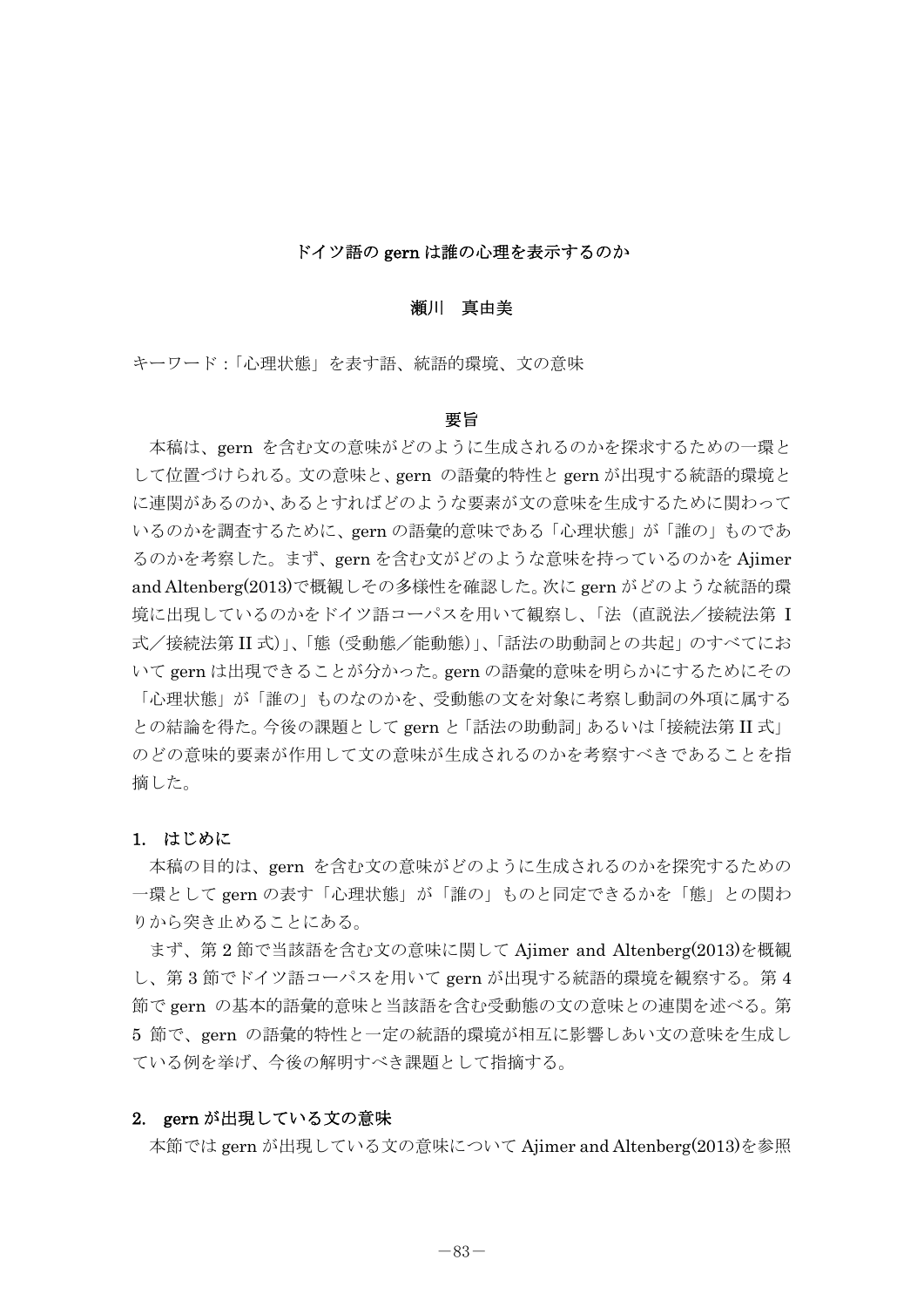#### ドイツ語の gern は誰の心理を表示するのか

### 瀬川 真由美

キーワード:「心理状態」を表す語、統語的環境、文の意味

#### 要旨

 本稿は、gern を含む文の意味がどのように生成されるのかを探求するための一環と して位置づけられる。文の意味と、gern の語彙的特性と gern が出現する統語的環境と に連関があるのか、あるとすればどのような要素が文の意味を生成するために関わって いるのかを調査するために、gern の語彙的意味である「心理状態」が「誰の」ものであ るのかを考察した。まず、gern を含む文がどのような意味を持っているのかを Ajimer and Altenberg(2013)で概観しその多様性を確認した。次に gern がどのような統語的環 境に出現しているのかをドイツ語コーパスを用いて観察し、「法(直説法/接続法第 I 式/接続法第 II 式)」、「態(受動態/能動態)」、「話法の助動詞との共起」のすべてにお いて gern は出現できることが分かった。gern の語彙的意味を明らかにするためにその 「心理状態」が「誰の」ものなのかを、受動態の文を対象に考察し動詞の外項に属する との結論を得た。今後の課題として gern と「話法の助動詞」あるいは「接続法第 II 式」 のどの意味的要素が作用して文の意味が生成されるのかを考察すべきであることを指 摘した。

### 1. はじめに

 本稿の目的は、gern を含む文の意味がどのように生成されるのかを探究するための 一環として gern の表す「心理状態」が「誰の」ものと同定できるかを「態」との関わ りから突き止めることにある。

まず、第 2 節で当該語を含む文の意味に関して Ajimer and Altenberg(2013)を概観 し、第 3 節でドイツ語コーパスを用いて gern が出現する統語的環境を観察する。第 4 節で gern の基本的語彙的意味と当該語を含む受動態の文の意味との連関を述べる。第 5 節で、gern の語彙的特性と一定の統語的環境が相互に影響しあい文の意味を生成し ている例を挙げ、今後の解明すべき課題として指摘する。

### 2. gern が出現している文の意味

本節では gern が出現している文の意味について Ajimer and Altenberg(2013)を参照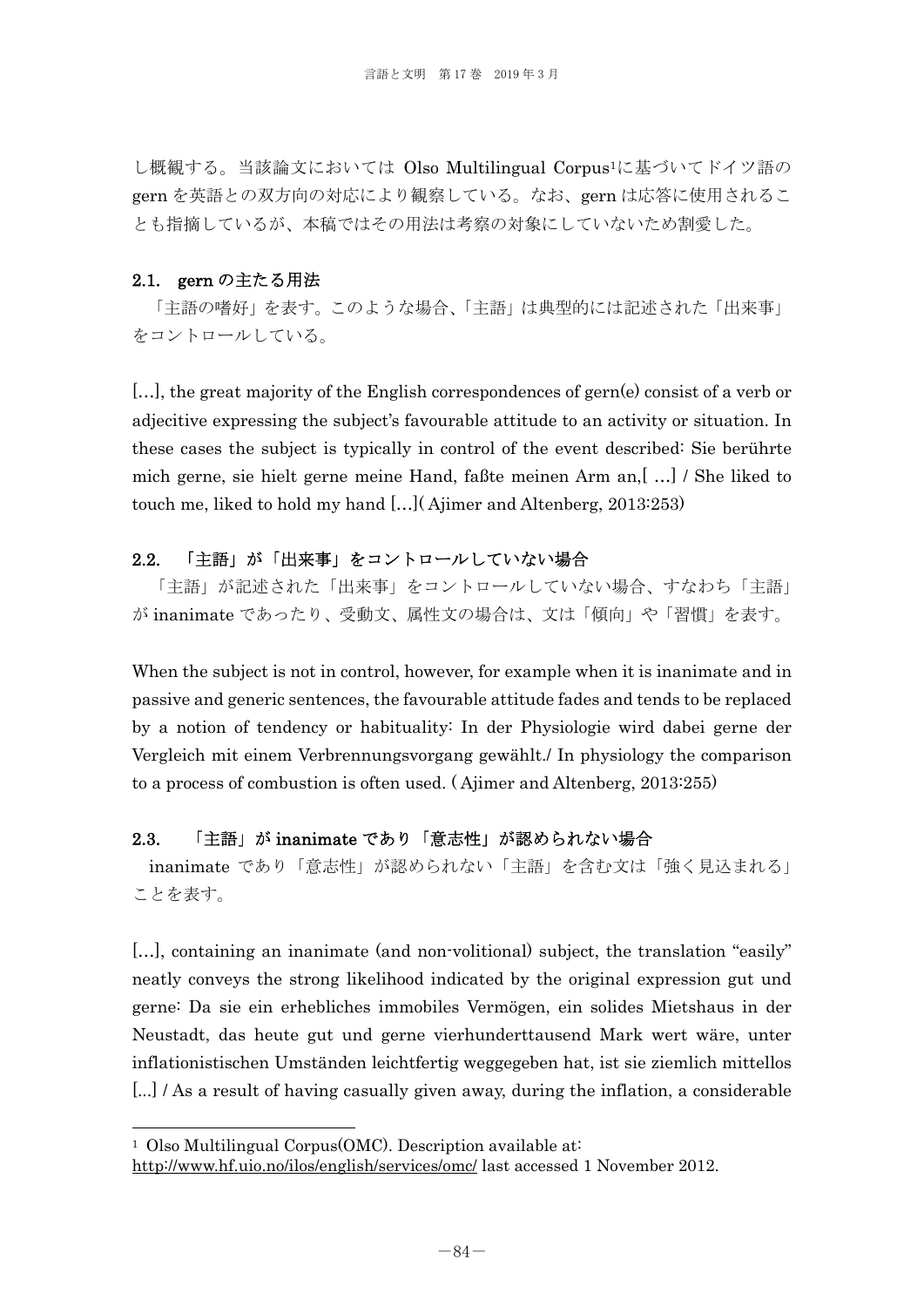し概観する。当該論文においては Olso Multilingual Corpus1に基づいてドイツ語の gern を英語との双方向の対応により観察している。なお、gern は応答に使用されるこ とも指摘しているが、本稿ではその用法は考察の対象にしていないため割愛した。

## 2.1. gern の主たる用法

 「主語の嗜好」を表す。このような場合、「主語」は典型的には記述された「出来事」 をコントロールしている。

[...], the great majority of the English correspondences of gern(e) consist of a verb or adjecitive expressing the subject's favourable attitude to an activity or situation. In these cases the subject is typically in control of the event described: Sie berührte mich gerne, sie hielt gerne meine Hand, faßte meinen Arm an,[ …] / She liked to touch me, liked to hold my hand […]( Ajimer and Altenberg, 2013:253)

## 2.2. 「主語」が「出来事」をコントロールしていない場合

 「主語」が記述された「出来事」をコントロールしていない場合、すなわち「主語」 が inanimate であったり、受動文、属性文の場合は、文は「傾向」や「習慣」を表す。

When the subject is not in control, however, for example when it is inanimate and in passive and generic sentences, the favourable attitude fades and tends to be replaced by a notion of tendency or habituality: In der Physiologie wird dabei gerne der Vergleich mit einem Verbrennungsvorgang gewählt./ In physiology the comparison to a process of combustion is often used. ( Ajimer and Altenberg, 2013:255)

## 2.3. 「主語」が inanimate であり「意志性」が認められない場合

inanimate であり「意志性」が認められない「主語」を含む文は「強く見込まれる」 ことを表す。

[…], containing an inanimate (and non-volitional) subject, the translation "easily" neatly conveys the strong likelihood indicated by the original expression gut und gerne: Da sie ein erhebliches immobiles Vermögen, ein solides Mietshaus in der Neustadt, das heute gut und gerne vierhunderttausend Mark wert wäre, unter inflationistischen Umständen leichtfertig weggegeben hat, ist sie ziemlich mittellos [...] As a result of having casually given away, during the inflation, a considerable

 $\overline{a}$ 

<sup>1</sup> Olso Multilingual Corpus(OMC). Description available at:

http://www.hf.uio.no/ilos/english/services/omc/ last accessed 1 November 2012.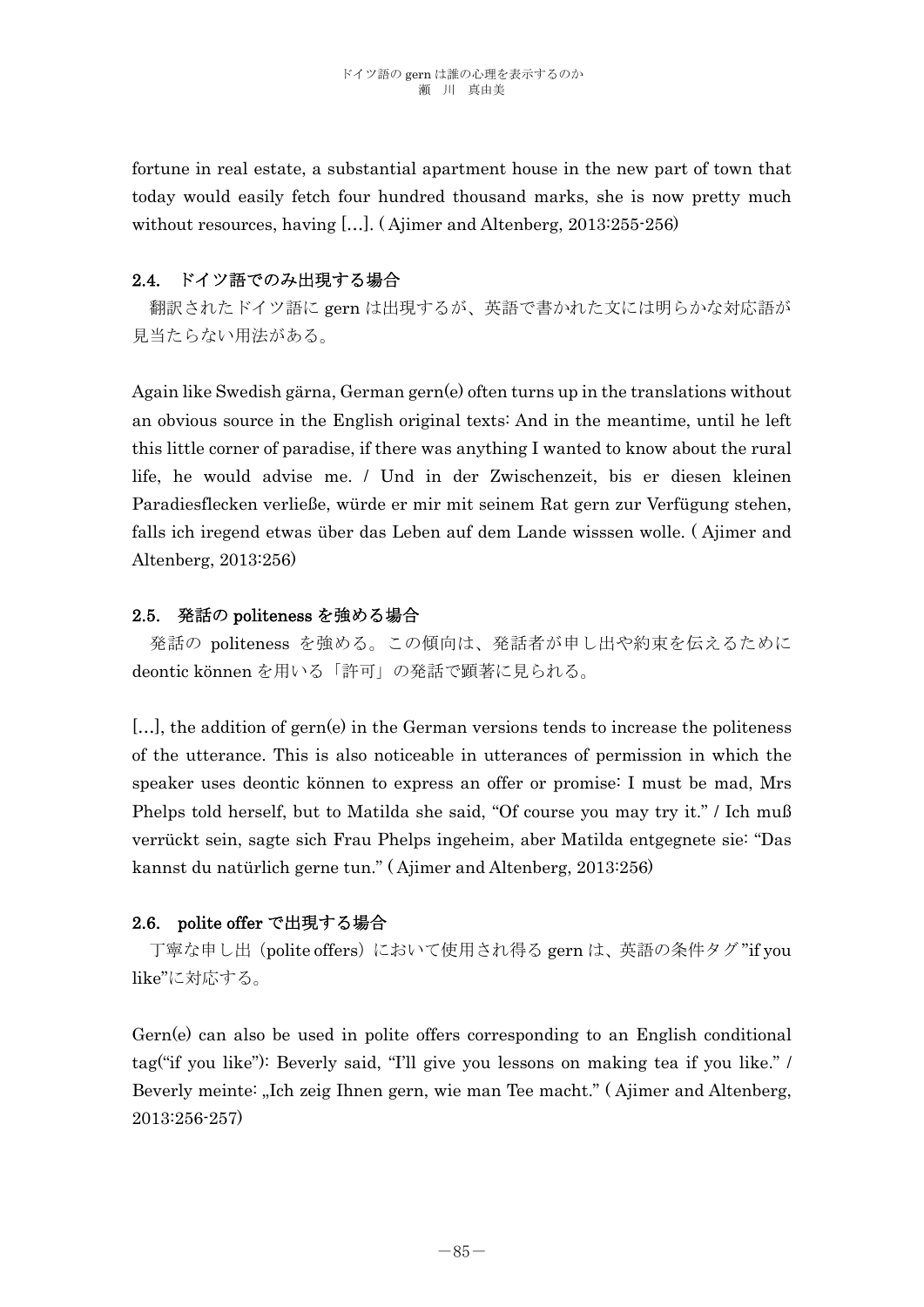fortune in real estate, a substantial apartment house in the new part of town that today would easily fetch four hundred thousand marks, she is now pretty much without resources, having […]. ( Ajimer and Altenberg, 2013:255-256)

# 2.4. ドイツ語でのみ出現する場合

 翻訳されたドイツ語に gern は出現するが、英語で書かれた文には明らかな対応語が 見当たらない用法がある。

Again like Swedish gärna, German gern(e) often turns up in the translations without an obvious source in the English original texts: And in the meantime, until he left this little corner of paradise, if there was anything I wanted to know about the rural life, he would advise me. / Und in der Zwischenzeit, bis er diesen kleinen Paradiesflecken verließe, würde er mir mit seinem Rat gern zur Verfügung stehen, falls ich iregend etwas über das Leben auf dem Lande wisssen wolle. ( Ajimer and Altenberg, 2013:256)

## 2.5. 発話の politeness を強める場合

 発話の politeness を強める。この傾向は、発話者が申し出や約束を伝えるために deontic können を用いる「許可」の発話で顕著に見られる。

[…], the addition of gern(e) in the German versions tends to increase the politeness of the utterance. This is also noticeable in utterances of permission in which the speaker uses deontic können to express an offer or promise: I must be mad, Mrs Phelps told herself, but to Matilda she said, "Of course you may try it." / Ich muß verrückt sein, sagte sich Frau Phelps ingeheim, aber Matilda entgegnete sie: "Das kannst du natürlich gerne tun." ( Ajimer and Altenberg, 2013:256)

## 2.6. polite offer で出現する場合

丁寧な申し出(polite offers)において使用され得る gern は、英語の条件タグ"if you like"に対応する。

Gern(e) can also be used in polite offers corresponding to an English conditional tag("if you like"): Beverly said, "I'll give you lessons on making tea if you like." / Beverly meinte: "Ich zeig Ihnen gern, wie man Tee macht." (Ajimer and Altenberg, 2013:256-257)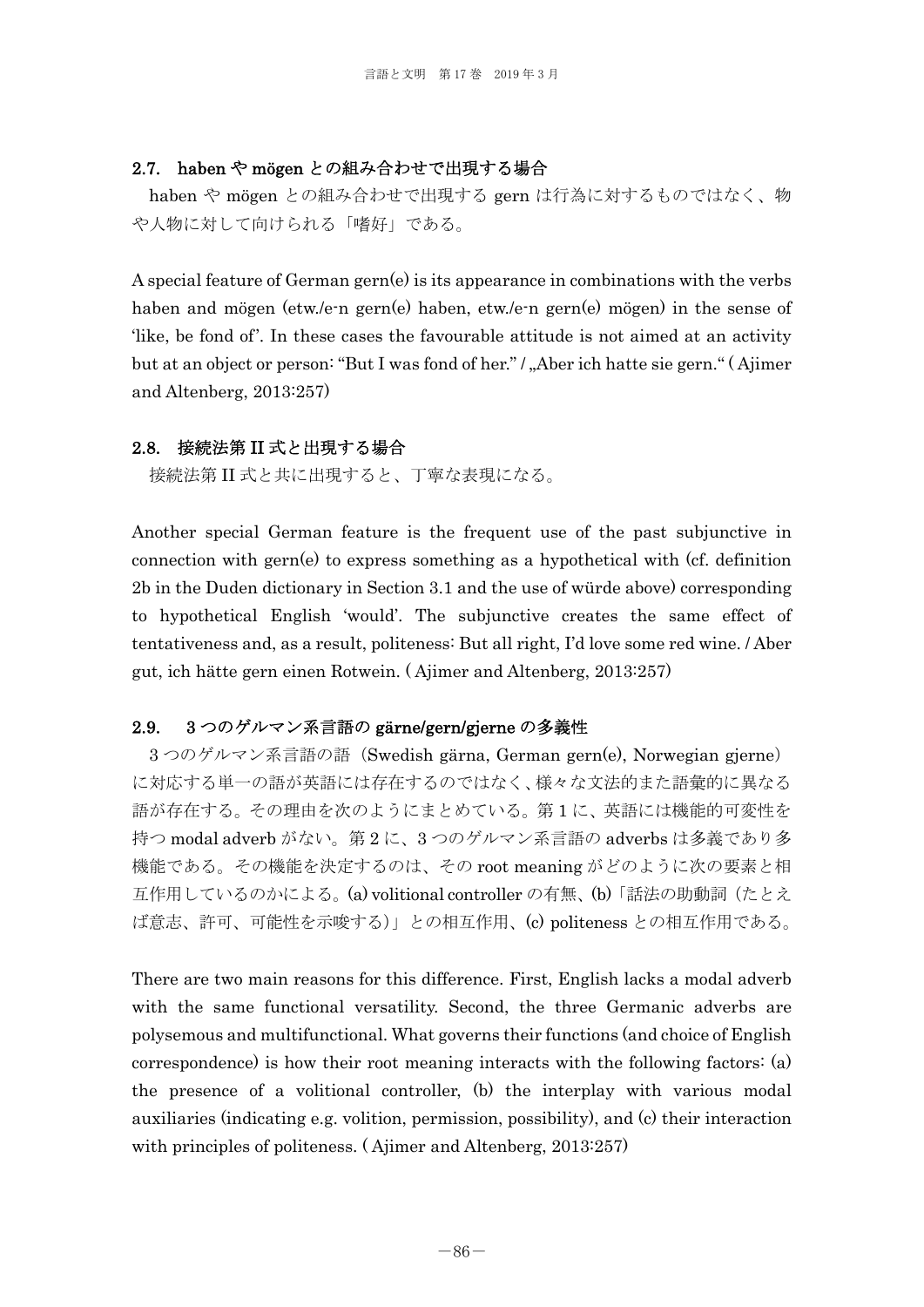### 2.7. haben や mögen との組み合わせで出現する場合

haben や mögen との組み合わせで出現する gern は行為に対するものではなく、物 や人物に対して向けられる「嗜好」である。

A special feature of German gern(e) is its appearance in combinations with the verbs haben and mögen (etw./e-n gern(e) haben, etw./e-n gern(e) mögen) in the sense of 'like, be fond of'. In these cases the favourable attitude is not aimed at an activity but at an object or person: "But I was fond of her." / "Aber ich hatte sie gern." (Ajimer and Altenberg, 2013:257)

### 2.8. 接続法第 II 式と出現する場合

接続法第 II 式と共に出現すると、丁寧な表現になる。

Another special German feature is the frequent use of the past subjunctive in connection with gern(e) to express something as a hypothetical with (cf. definition 2b in the Duden dictionary in Section 3.1 and the use of würde above) corresponding to hypothetical English 'would'. The subjunctive creates the same effect of tentativeness and, as a result, politeness: But all right, I'd love some red wine. / Aber gut, ich hätte gern einen Rotwein. ( Ajimer and Altenberg, 2013:257)

### 2.9. 3 つのゲルマン系言語の gärne/gern/gjerne の多義性

3 つのゲルマン系言語の語(Swedish gärna, German gern(e), Norwegian gjerne) に対応する単一の語が英語には存在するのではなく、様々な文法的また語彙的に異なる 語が存在する。その理由を次のようにまとめている。第 1 に、英語には機能的可変性を 持つ modal adverb がない。第 2 に、3 つのゲルマン系言語の adverbs は多義であり多 機能である。その機能を決定するのは、その root meaning がどのように次の要素と相 互作用しているのかによる。(a) volitional controller の有無、(b)「話法の助動詞(たとえ ば意志、許可、可能性を示唆する)」との相互作用、(c) politeness との相互作用である。

There are two main reasons for this difference. First, English lacks a modal adverb with the same functional versatility. Second, the three Germanic adverbs are polysemous and multifunctional. What governs their functions (and choice of English correspondence) is how their root meaning interacts with the following factors: (a) the presence of a volitional controller, (b) the interplay with various modal auxiliaries (indicating e.g. volition, permission, possibility), and (c) their interaction with principles of politeness. ( Ajimer and Altenberg, 2013:257)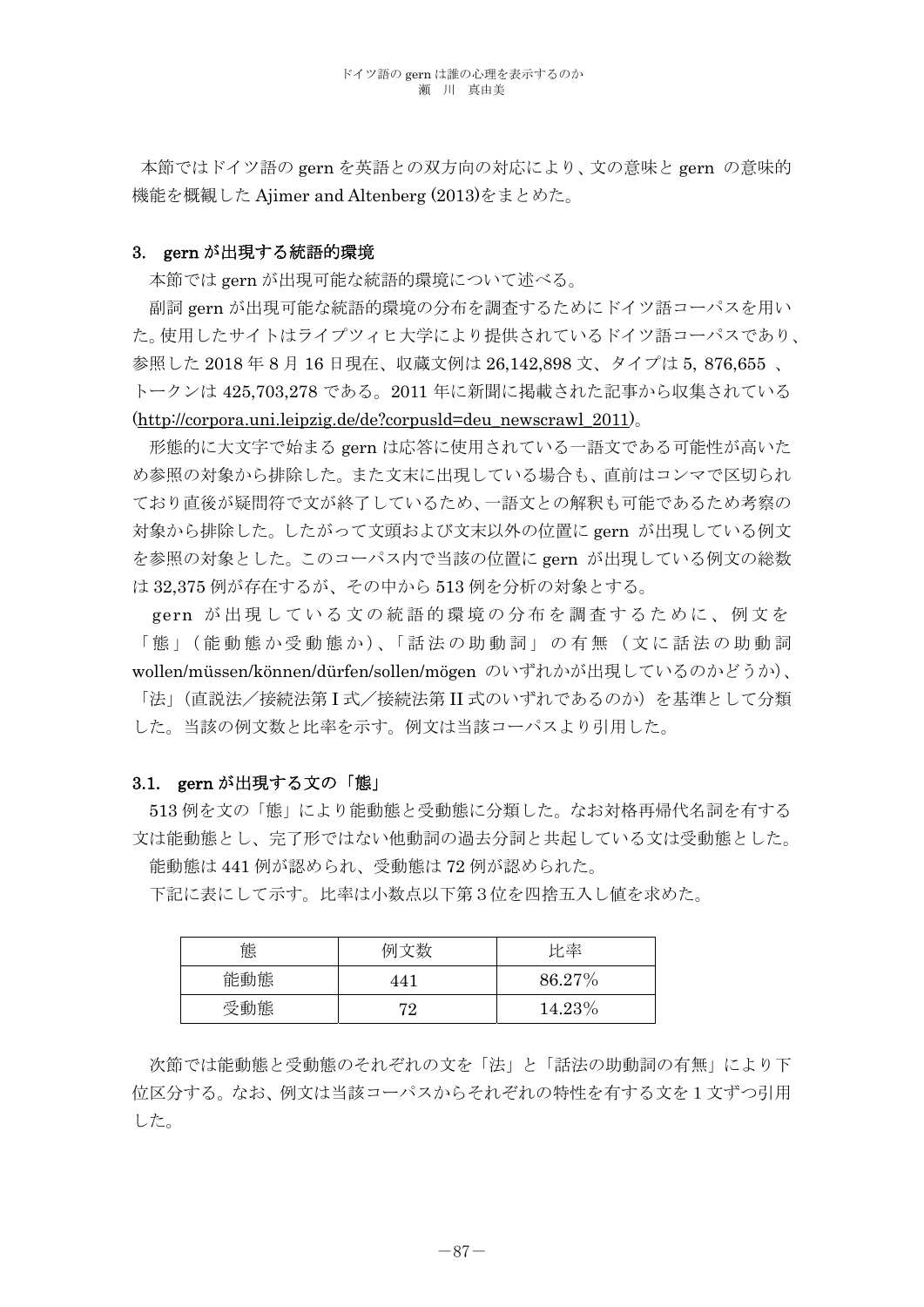本節ではドイツ語の gern を英語との双方向の対応により、文の意味と gern の意味的 機能を概観した Ajimer and Altenberg (2013)をまとめた。

### 3. gern が出現する統語的環境

本節では gern が出現可能な統語的環境について述べる。

副詞 gern が出現可能な統語的環境の分布を調査するためにドイツ語コーパスを用い た。使用したサイトはライプツィヒ大学により提供されているドイツ語コーパスであり、 参照した 2018 年 8 月 16 日現在、収蔵文例は 26,142,898 文、タイプは 5, 876,655 、 トークンは 425,703,278 である。2011 年に新聞に掲載された記事から収集されている (http://corpora.uni.leipzig.de/de?corpusld=deu\_newscrawl\_2011)。

形態的に大文字で始まる gern は応答に使用されている一語文である可能性が高いた め参照の対象から排除した。また文末に出現している場合も、直前はコンマで区切られ ており直後が疑問符で文が終了しているため、一語文との解釈も可能であるため考察の 対象から排除した。したがって文頭および文末以外の位置に gern が出現している例文 を参照の対象とした。このコーパス内で当該の位置に gern が出現している例文の総数 は 32,375 例が存在するが、その中から 513 例を分析の対象とする。

gern が出現している文の統語的環境 の分布を調査するために、例文を 「態」(能動態か受動態か)、「話法の助動詞」の有無(文に話法の助動詞 wollen/müssen/können/dürfen/sollen/mögen のいずれかが出現しているのかどうか)、 「法」(直説法/接続法第 I 式/接続法第 II 式のいずれであるのか)を基準として分類 した。当該の例文数と比率を示す。例文は当該コーパスより引用した。

### 3.1. gern が出現する文の「態」

513 例を文の「態」により能動態と受動態に分類した。なお対格再帰代名詞を有する 文は能動態とし、完了形ではない他動詞の過去分詞と共起している文は受動態とした。 能動態は 441 例が認められ、受動態は 72 例が認められた。

下記に表にして示す。比率は小数点以下第3位を四捨五入し値を求めた。

| 態   | ╶╼┶╾╶╫╁╸ | 比率        |
|-----|----------|-----------|
| 能動態 | I 4      | $86.27\%$ |
| 受動態 | 70       | 14.23%    |

次節では能動態と受動態のそれぞれの文を「法」と「話法の助動詞の有無」により下 位区分する。なお、例文は当該コーパスからそれぞれの特性を有する文を1文ずつ引用 した。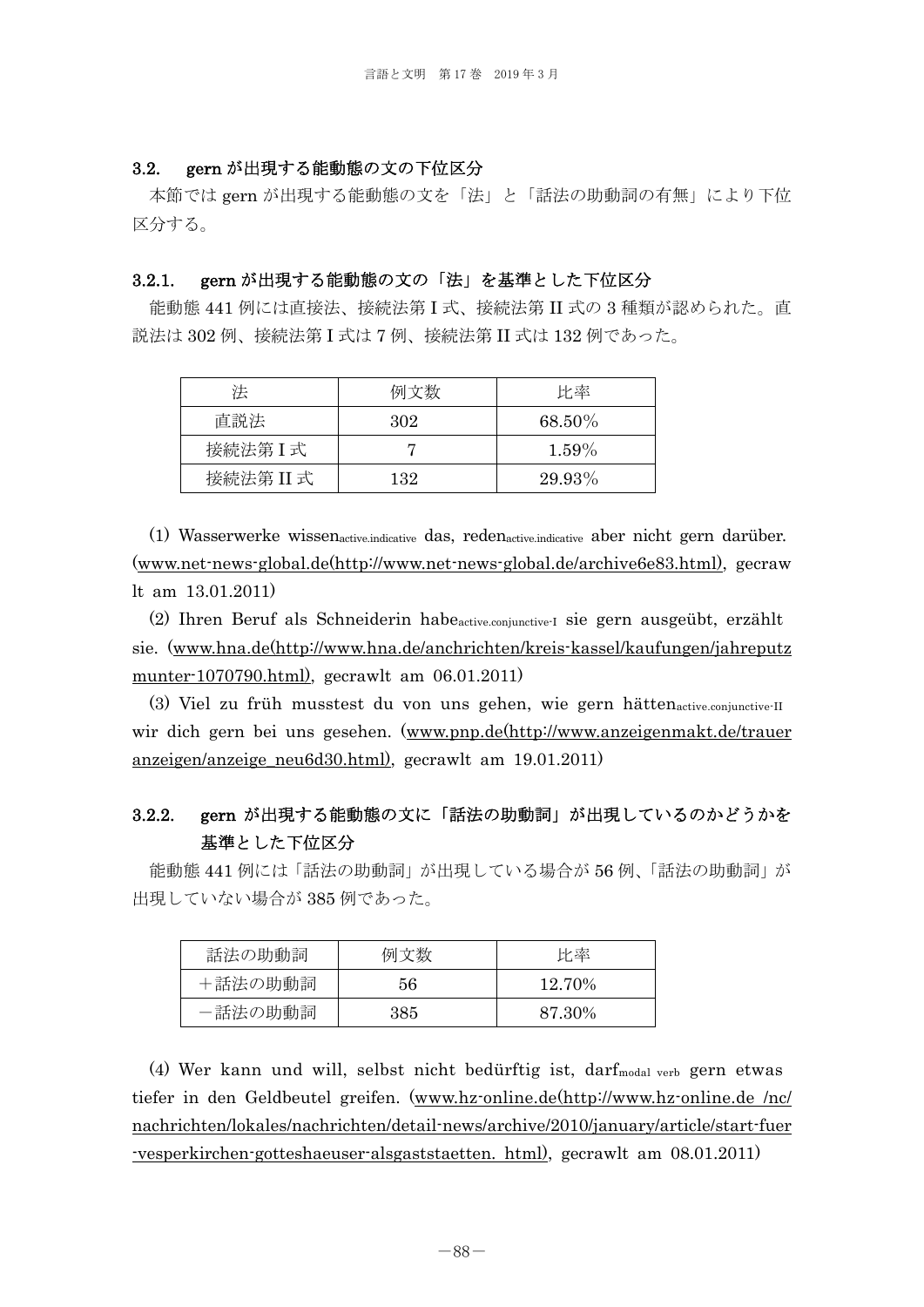#### 3.2. gern が出現する能動態の文の下位区分

 本節では gern が出現する能動態の文を「法」と「話法の助動詞の有無」により下位 区分する。

### 3.2.1. gern が出現する能動態の文の「法」を基準とした下位区分

能動態 441 例には直接法、接続法第 I 式、接続法第 II 式の 3 種類が認められた。直 説法は 302 例、接続法第 I 式は 7 例、接続法第 II 式は 132 例であった。

| 泆         | 例文数 | 比率       |
|-----------|-----|----------|
| 直説法       | 302 | 68.50%   |
| 接続法第I式    |     | $1.59\%$ |
| 接続法第 II 式 | 132 | 29.93%   |

(1) Wasserwerke wissenactive.indicative das, redenactive.indicative aber nicht gern darüber. (www.net-news-global.de(http://www.net-news-global.de/archive6e83.html), gecraw lt am 13.01.2011)

(2) Ihren Beruf als Schneiderin habeactive.conjunctive-I sie gern ausgeübt, erzählt sie. (www.hna.de(http://www.hna.de/anchrichten/kreis-kassel/kaufungen/jahreputz munter-1070790.html), gecrawlt am 06.01.2011)

(3) Viel zu früh musstest du von uns gehen, wie gern hättenactive.conjunctive-II wir dich gern bei uns gesehen. (www.pnp.de(http://www.anzeigenmakt.de/trauer anzeigen/anzeige\_neu6d30.html), gecrawlt am 19.01.2011)

# 3.2.2. gern が出現する能動態の文に「話法の助動詞」が出現しているのかどうかを 基準とした下位区分

能動態 441 例には「話法の助動詞」が出現している場合が 56 例、「話法の助動詞」が 出現していない場合が 385 例であった。

| 話法の助動詞  | 例文数 | 比率     |
|---------|-----|--------|
| +話法の助動詞 | 56  | 12.70% |
| -話法の助動詞 | 385 | 87.30% |

(4) Wer kann und will, selbst nicht bedürftig ist, darfmodal verb gern etwas tiefer in den Geldbeutel greifen. (www.hz-online.de(http://www.hz-online.de /nc/ nachrichten/lokales/nachrichten/detail-news/archive/2010/january/article/start-fuer -vesperkirchen-gotteshaeuser-alsgaststaetten. html), gecrawlt am 08.01.2011)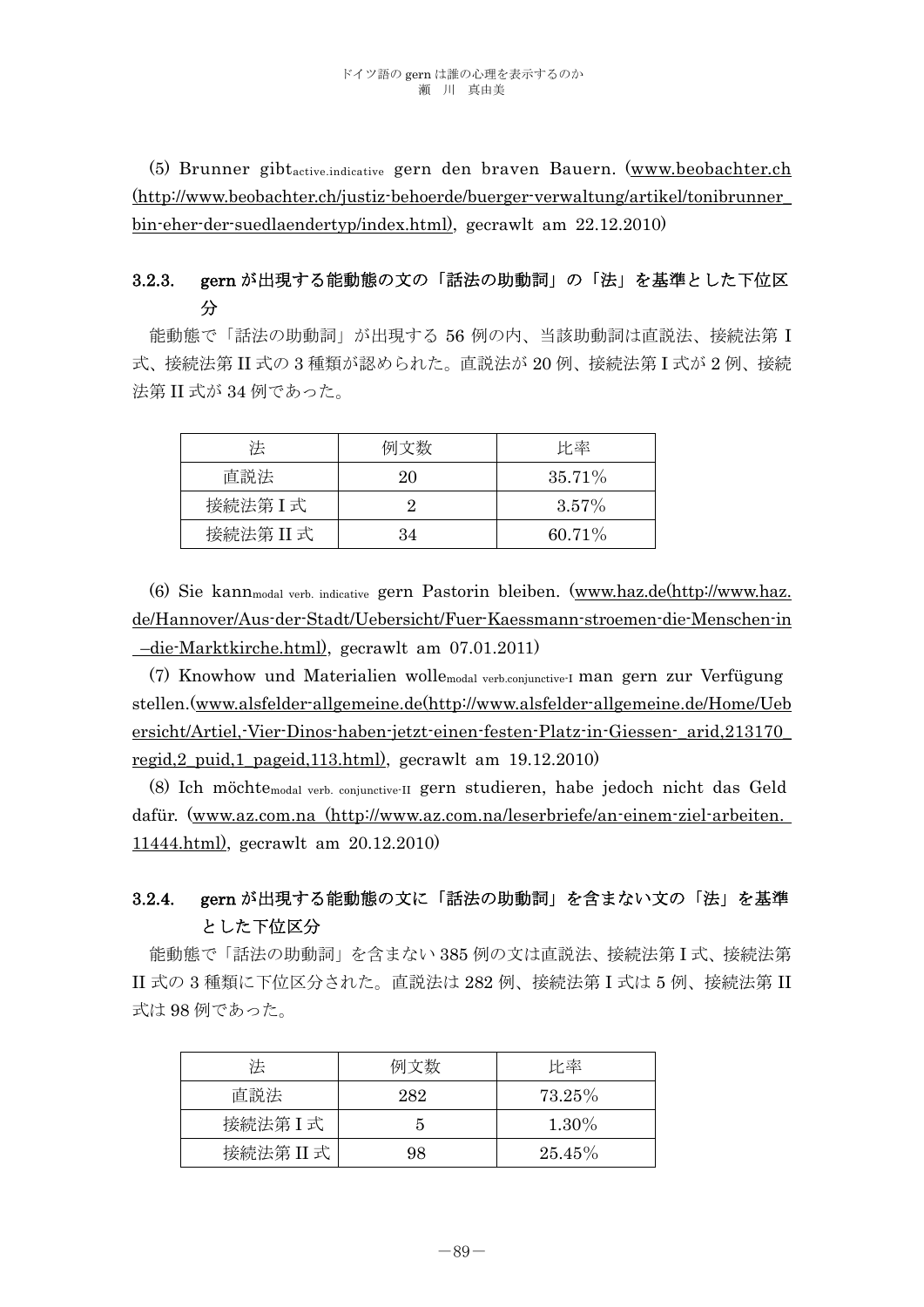(5) Brunner gibtactive.indicative gern den braven Bauern. (www.beobachter.ch (http://www.beobachter.ch/justiz-behoerde/buerger-verwaltung/artikel/tonibrunner\_ bin-eher-der-suedlaendertyp/index.html), gecrawlt am 22.12.2010)

# 3.2.3. gern が出現する能動態の文の「話法の助動詞」の「法」を基準とした下位区 分

 能動態で「話法の助動詞」が出現する 56 例の内、当該助動詞は直説法、接続法第 I 式、接続法第 II 式の 3 種類が認められた。直説法が 20 例、接続法第 I 式が 2 例、接続 法第 II 式が 34 例であった。

| 法         | 例文数 | 比率        |
|-----------|-----|-----------|
| 直説法       | 20  | $35.71\%$ |
| 接続法第I式    |     | $3.57\%$  |
| 接続法第 II 式 | 34  | $60.71\%$ |

 (6) Sie kannmodal verb. indicative gern Pastorin bleiben. (www.haz.de(http://www.haz. de/Hannover/Aus-der-Stadt/Uebersicht/Fuer-Kaessmann-stroemen-die-Menschen-in –die-Marktkirche.html), gecrawlt am 07.01.2011)

 (7) Knowhow und Materialien wollemodal verb.conjunctive-I man gern zur Verfügung stellen.(www.alsfelder-allgemeine.de(http://www.alsfelder-allgemeine.de/Home/Ueb ersicht/Artiel,-Vier-Dinos-haben-jetzt-einen-festen-Platz-in-Giessen-\_arid,213170\_ regid,2\_puid,1\_pageid,113.html), gecrawlt am 19.12.2010)

 (8) Ich möchtemodal verb. conjunctive-II gern studieren, habe jedoch nicht das Geld dafür. (www.az.com.na (http://www.az.com.na/leserbriefe/an-einem-ziel-arbeiten. 11444.html), gecrawlt am 20.12.2010)

# 3.2.4. gern が出現する能動態の文に「話法の助動詞」を含まない文の「法」を基準 とした下位区分

能動態で「話法の助動詞」を含まない 385 例の文は直説法、接続法第 I 式、接続法第 II 式の 3 種類に下位区分された。直説法は 282 例、接続法第 I 式は 5 例、接続法第 II 式は 98 例であった。

| 法         | 例文数 | 比率       |
|-----------|-----|----------|
| 直説法       | 282 | 73.25%   |
| 接続法第I式    |     | $1.30\%$ |
| 接続法第 II 式 | 98  | 25.45%   |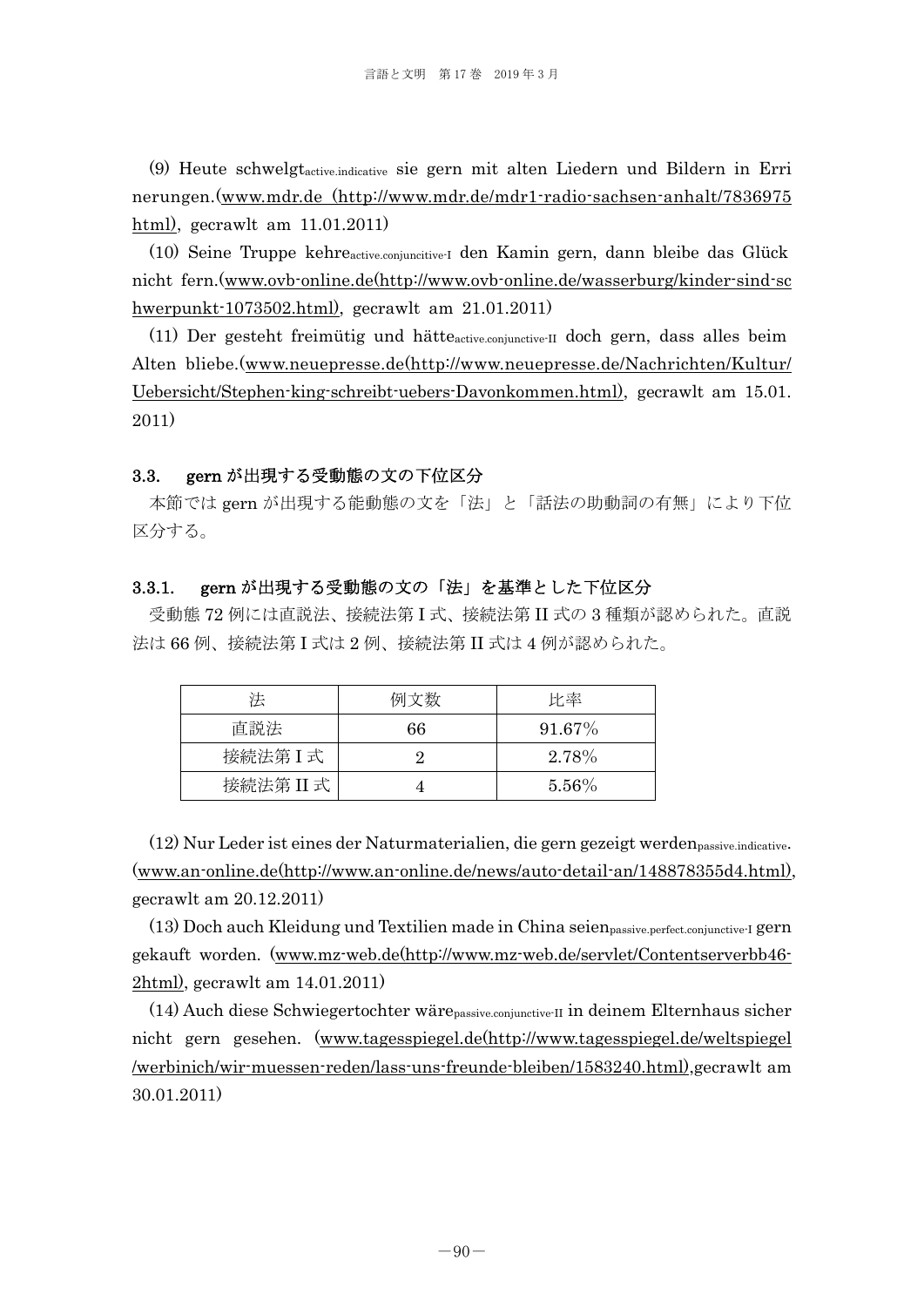(9) Heute schwelgtactive.indicative sie gern mit alten Liedern und Bildern in Erri nerungen.(www.mdr.de (http://www.mdr.de/mdr1-radio-sachsen-anhalt/7836975 html), gecrawlt am 11.01.2011)

 (10) Seine Truppe kehreactive.conjuncitive-I den Kamin gern, dann bleibe das Glück nicht fern.(www.ovb-online.de(http://www.ovb-online.de/wasserburg/kinder-sind-sc hwerpunkt-1073502.html), gecrawlt am 21.01.2011)

 (11) Der gesteht freimütig und hätteactive.conjunctive-II doch gern, dass alles beim Alten bliebe.(www.neuepresse.de(http://www.neuepresse.de/Nachrichten/Kultur/ Uebersicht/Stephen-king-schreibt-uebers-Davonkommen.html), gecrawlt am 15.01. 2011)

#### 3.3. gern が出現する受動態の文の下位区分

 本節では gern が出現する能動態の文を「法」と「話法の助動詞の有無」により下位 区分する。

## 3.3.1. gern が出現する受動態の文の「法」を基準とした下位区分

受動態 72 例には直説法、接続法第 I 式、接続法第 II 式の 3 種類が認められた。直説 法は 66 例、接続法第 I 式は 2 例、接続法第 II 式は 4 例が認められた。

| 法         | 例文数 | 比率        |
|-----------|-----|-----------|
| 直説法       | 66  | $91.67\%$ |
| 接続法第I式    |     | 2.78%     |
| 接続法第 II 式 |     | $5.56\%$  |

(12) Nur Leder ist eines der Naturmaterialien, die gern gezeigt werdenpassive.indicative. (www.an-online.de(http://www.an-online.de/news/auto-detail-an/148878355d4.html), gecrawlt am 20.12.2011)

(13) Doch auch Kleidung und Textilien made in China seienpassive.perfect.conjunctive-I gern gekauft worden. (www.mz-web.de(http://www.mz-web.de/servlet/Contentserverbb46- 2html), gecrawlt am 14.01.2011)

(14) Auch diese Schwiegertochter wärepassive.conjunctive-II in deinem Elternhaus sicher nicht gern gesehen. (www.tagesspiegel.de(http://www.tagesspiegel.de/weltspiegel /werbinich/wir-muessen-reden/lass-uns-freunde-bleiben/1583240.html),gecrawlt am 30.01.2011)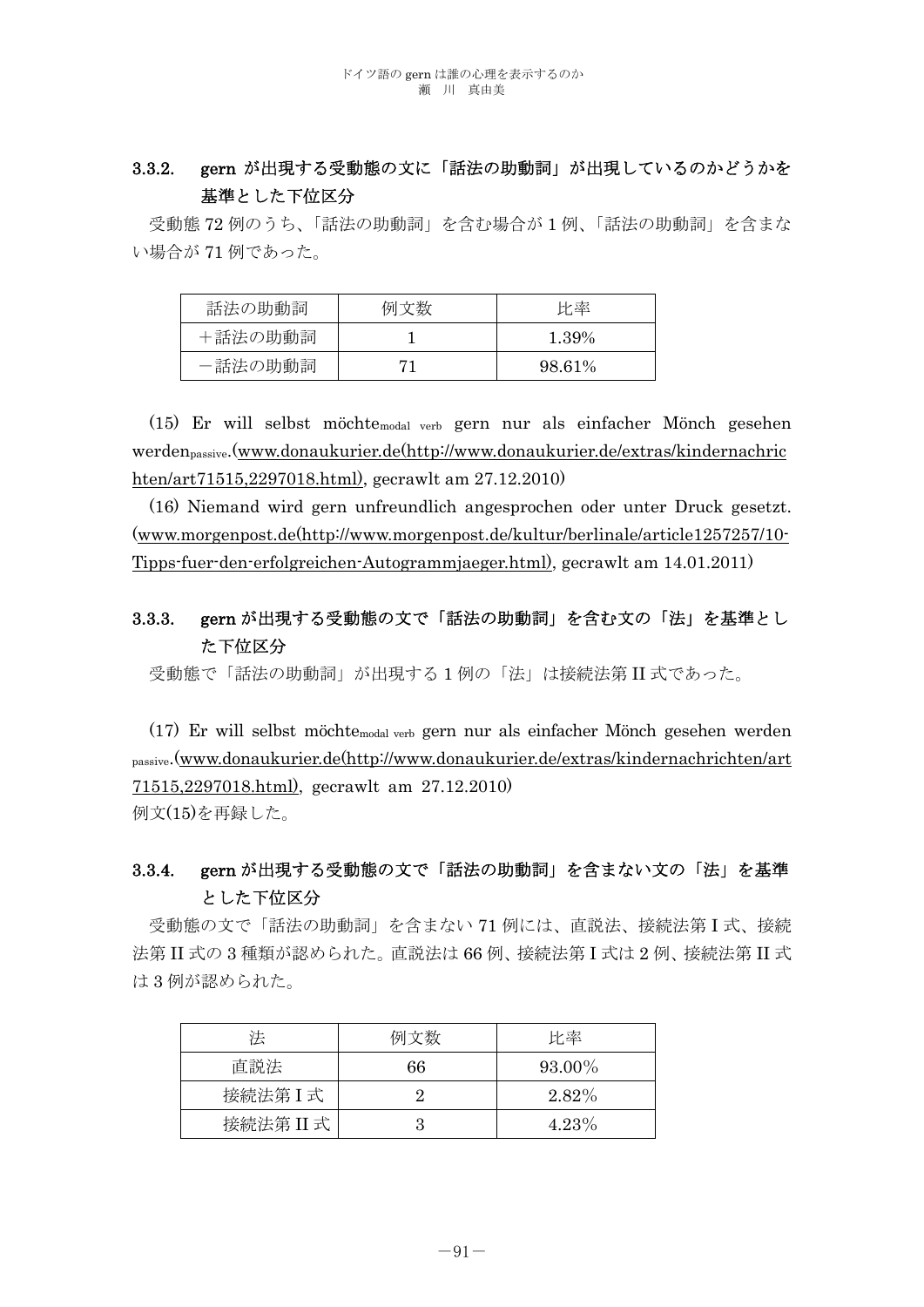# 3.3.2. gern が出現する受動態の文に「話法の助動詞」が出現しているのかどうかを 基準とした下位区分

受動態 72 例のうち、「話法の助動詞」を含む場合が 1 例、「話法の助動詞」を含まな い場合が 71 例であった。

| 話法の助動詞  | 例文数 | 比率     |
|---------|-----|--------|
| +話法の助動詞 |     | 1.39%  |
| -話法の助動詞 |     | 98.61% |

 (15) Er will selbst möchtemodal verb gern nur als einfacher Mönch gesehen werdenpassive.(www.donaukurier.de(http://www.donaukurier.de/extras/kindernachric hten/art71515,2297018.html), gecrawlt am 27.12.2010)

 (16) Niemand wird gern unfreundlich angesprochen oder unter Druck gesetzt. (www.morgenpost.de(http://www.morgenpost.de/kultur/berlinale/article1257257/10- Tipps-fuer-den-erfolgreichen-Autogrammjaeger.html), gecrawlt am 14.01.2011)

# 3.3.3. gern が出現する受動態の文で「話法の助動詞」を含む文の「法」を基準とし た下位区分

受動態で「話法の助動詞」が出現する 1 例の「法」は接続法第 II 式であった。

 (17) Er will selbst möchtemodal verb gern nur als einfacher Mönch gesehen werden passive.(www.donaukurier.de(http://www.donaukurier.de/extras/kindernachrichten/art 71515,2297018.html), gecrawlt am 27.12.2010) 例文(15)を再録した。

# 3.3.4. gern が出現する受動態の文で「話法の助動詞」を含まない文の「法」を基準 とした下位区分

受動態の文で「話法の助動詞」を含まない 71 例には、直説法、接続法第 I 式、接続 法第 II 式の 3 種類が認められた。直説法は 66 例、接続法第 I 式は 2 例、接続法第 II 式 は 3 例が認められた。

| 法         | 例文数 | 比率       |
|-----------|-----|----------|
| 直説法       | 66  | 93.00%   |
| 接続法第I式    |     | $2.82\%$ |
| 接続法第 II 式 |     | 4.23%    |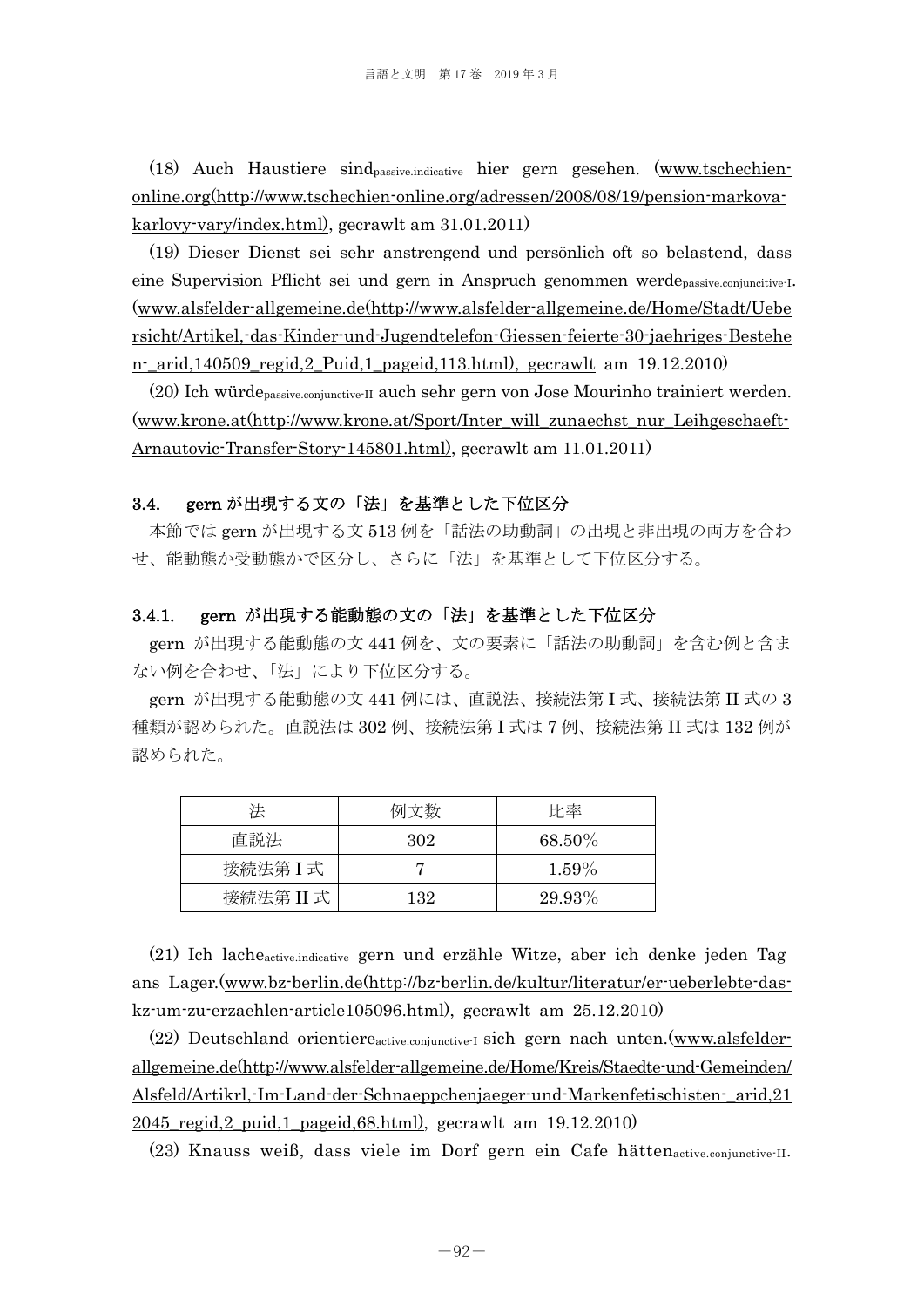(18) Auch Haustiere sindpassive.indicative hier gern gesehen. (www.tschechienonline.org(http://www.tschechien-online.org/adressen/2008/08/19/pension-markovakarlovy-vary/index.html), gecrawlt am 31.01.2011)

(19) Dieser Dienst sei sehr anstrengend und persönlich oft so belastend, dass eine Supervision Pflicht sei und gern in Anspruch genommen werdepassive.conjuncitive-I. (www.alsfelder-allgemeine.de(http://www.alsfelder-allgemeine.de/Home/Stadt/Uebe rsicht/Artikel,-das-Kinder-und-Jugendtelefon-Giessen-feierte-30-jaehriges-Bestehe n-\_arid,140509\_regid,2\_Puid,1\_pageid,113.html), gecrawlt am 19.12.2010)

(20) Ich würdepassive.conjunctive-II auch sehr gern von Jose Mourinho trainiert werden. (www.krone.at(http://www.krone.at/Sport/Inter\_will\_zunaechst\_nur\_Leihgeschaeft-Arnautovic-Transfer-Story-145801.html), gecrawlt am 11.01.2011)

### 3.4. gern が出現する文の「法」を基準とした下位区分

 本節では gern が出現する文 513 例を「話法の助動詞」の出現と非出現の両方を合わ せ、能動態か受動態かで区分し、さらに「法」を基準として下位区分する。

### 3.4.1. gern が出現する能動態の文の「法」を基準とした下位区分

gern が出現する能動態の文 441 例を、文の要素に「話法の助動詞」を含む例と含ま ない例を合わせ、「法」により下位区分する。

gern が出現する能動態の文 441 例には、直説法、接続法第 I 式、接続法第 II 式の 3 種類が認められた。直説法は 302 例、接続法第 I 式は 7 例、接続法第 II 式は 132 例が 認められた。

| 法         | 例文数 | 比率     |
|-----------|-----|--------|
| 直説法       | 302 | 68.50% |
| 接続法第I式    |     | 1.59%  |
| 接続法第 II 式 | 132 | 29.93% |

 (21) Ich lacheactive.indicative gern und erzähle Witze, aber ich denke jeden Tag ans Lager.(www.bz-berlin.de(http://bz-berlin.de/kultur/literatur/er-ueberlebte-daskz-um-zu-erzaehlen-article105096.html), gecrawlt am 25.12.2010)

 (22) Deutschland orientiereactive.conjunctive-I sich gern nach unten.(www.alsfelderallgemeine.de(http://www.alsfelder-allgemeine.de/Home/Kreis/Staedte-und-Gemeinden/ Alsfeld/Artikrl,-Im-Land-der-Schnaeppchenjaeger-und-Markenfetischisten-\_arid,21 2045\_regid,2\_puid,1\_pageid,68.html), gecrawlt am 19.12.2010)

(23) Knauss weiß, dass viele im Dorf gern ein Cafe hättenactive.conjunctive-II.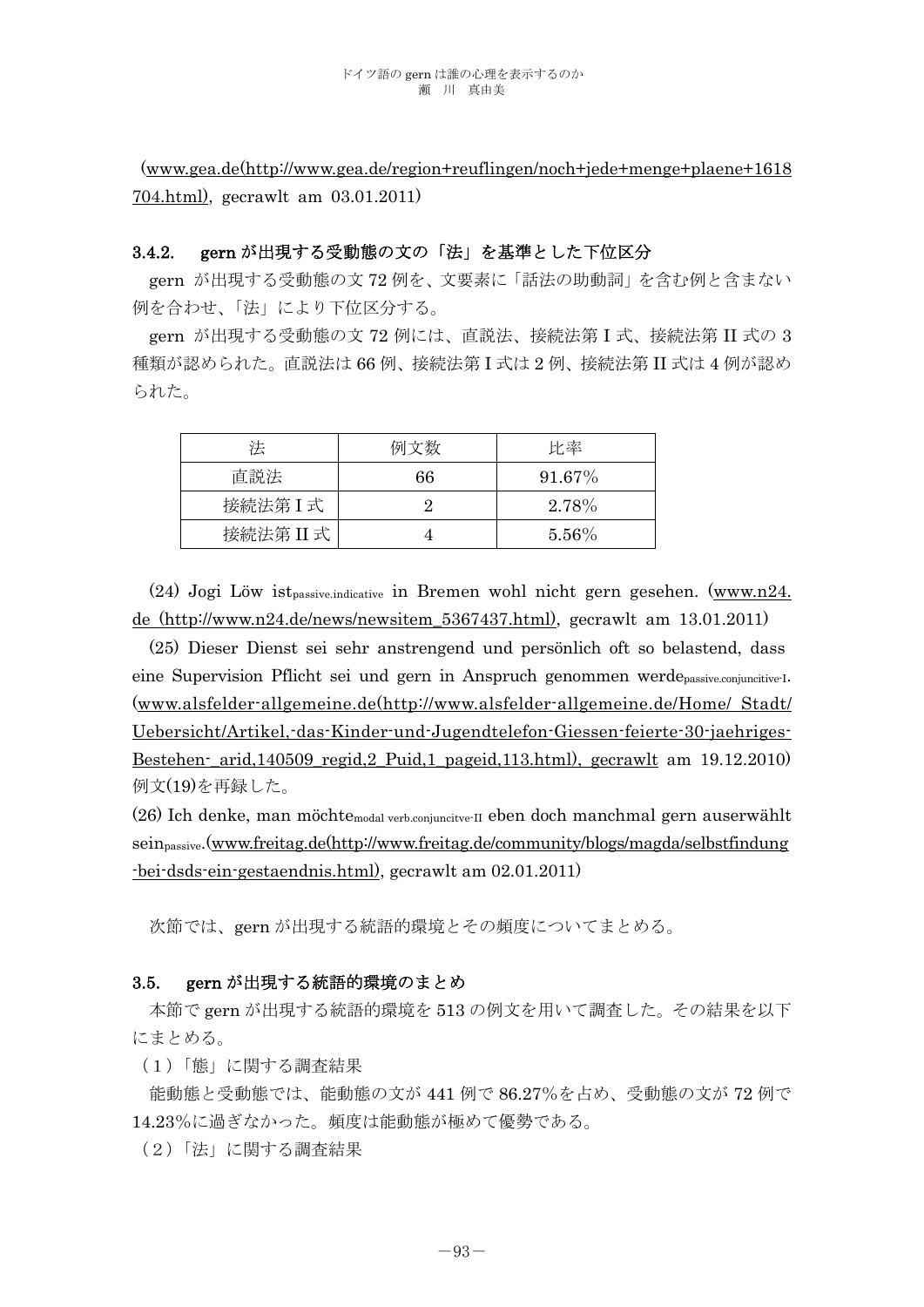(www.gea.de(http://www.gea.de/region+reuflingen/noch+jede+menge+plaene+1618 704.html), gecrawlt am 03.01.2011)

## 3.4.2. gern が出現する受動態の文の「法」を基準とした下位区分

gern が出現する受動態の文 72 例を、文要素に「話法の助動詞」を含む例と含まない 例を合わせ、「法」により下位区分する。

gern が出現する受動態の文 72 例には、直説法、接続法第 I 式、接続法第 II 式の 3 種類が認められた。直説法は 66 例、接続法第 I 式は 2 例、接続法第 II 式は 4 例が認め られた。

| 法         | 例文数 | 比率        |
|-----------|-----|-----------|
| 直説法       | 66  | $91.67\%$ |
| 接続法第I式    |     | 2.78%     |
| 接続法第 II 式 |     | $5.56\%$  |

 $(24)$  Jogi Löw ist<sub>passive</sub> indicative in Bremen wohl nicht gern gesehen. (www.n24.) de (http://www.n24.de/news/newsitem\_5367437.html), gecrawlt am 13.01.2011)

(25) Dieser Dienst sei sehr anstrengend und persönlich oft so belastend, dass eine Supervision Pflicht sei und gern in Anspruch genommen werdepassive.conjuncitive-I. (www.alsfelder-allgemeine.de(http://www.alsfelder-allgemeine.de/Home/ Stadt/ Uebersicht/Artikel,-das-Kinder-und-Jugendtelefon-Giessen-feierte-30-jaehriges-Bestehen-\_arid,140509\_regid,2\_Puid,1\_pageid,113.html), gecrawlt am 19.12.2010) 例文(19)を再録した。

(26) Ich denke, man möchtemodal verb.conjuncitve-II eben doch manchmal gern auserwählt seinpassive.(www.freitag.de(http://www.freitag.de/community/blogs/magda/selbstfindung -bei-dsds-ein-gestaendnis.html), gecrawlt am 02.01.2011)

次節では、gern が出現する統語的環境とその頻度についてまとめる。

### 3.5. gern が出現する統語的環境のまとめ

 本節で gern が出現する統語的環境を 513 の例文を用いて調査した。その結果を以下 にまとめる。

(1)「態」に関する調査結果

能動態と受動態では、能動態の文が 441 例で 86.27%を占め、受動態の文が 72 例で 14.23%に過ぎなかった。頻度は能動態が極めて優勢である。

(2)「法」に関する調査結果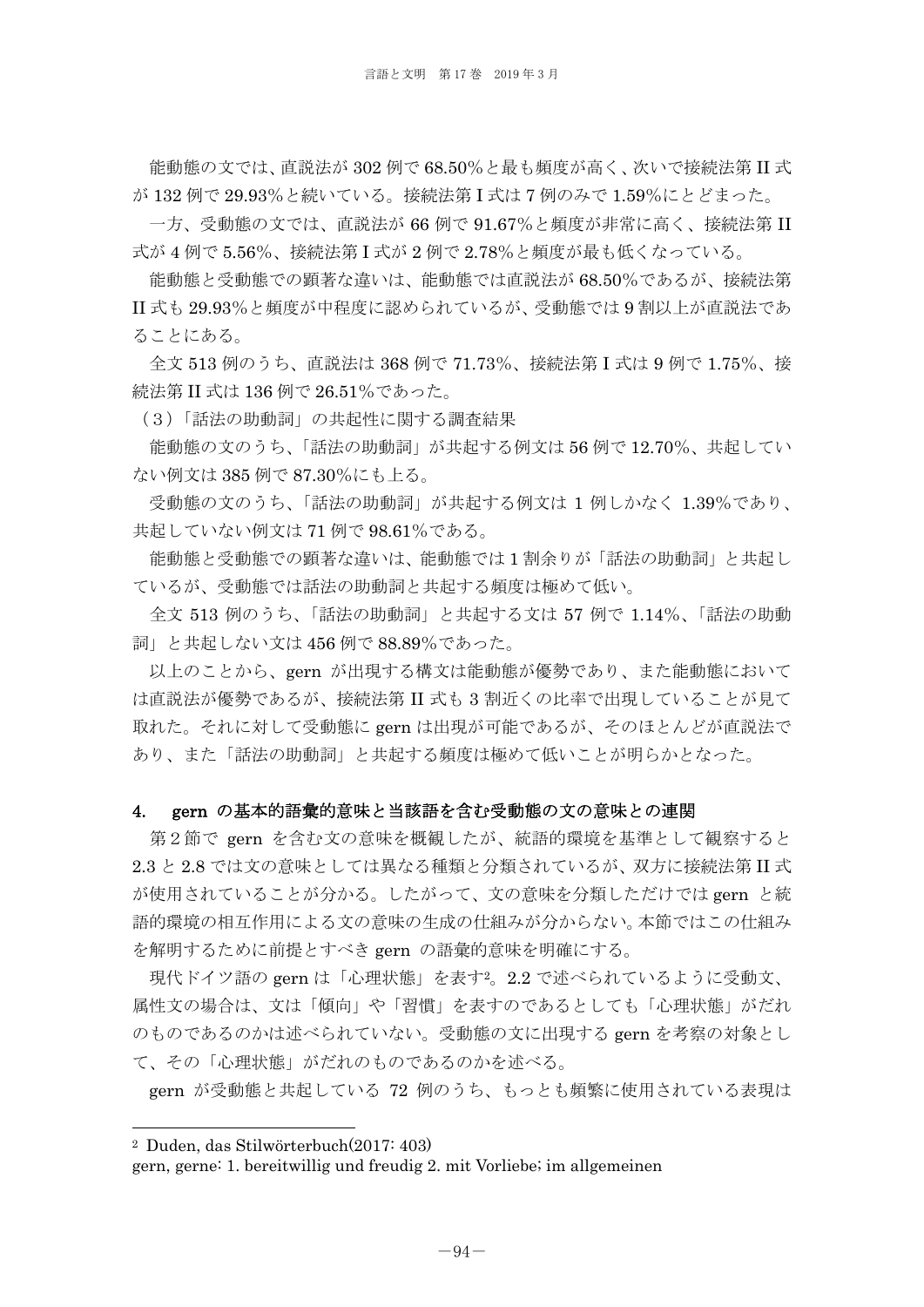能動態の文では、直説法が 302 例で 68.50%と最も頻度が高く、次いで接続法第 II 式 が 132 例で 29.93%と続いている。接続法第 I 式は 7 例のみで 1.59%にとどまった。

一方、受動態の文では、直説法が 66 例で 91.67%と頻度が非常に高く、接続法第 II 式が 4 例で 5.56%、接続法第 I 式が 2 例で 2.78%と頻度が最も低くなっている。

能動態と受動態での顕著な違いは、能動態では直説法が 68.50%であるが、接続法第 II 式も 29.93%と頻度が中程度に認められているが、受動態では 9 割以上が直説法であ ることにある。

全文 513 例のうち、直説法は 368 例で 71.73%、接続法第 I 式は 9 例で 1.75%、接 続法第 II 式は 136 例で 26.51%であった。

(3)「話法の助動詞」の共起性に関する調査結果

 能動態の文のうち、「話法の助動詞」が共起する例文は 56 例で 12.70%、共起してい ない例文は 385 例で 87.30%にも上る。

 受動態の文のうち、「話法の助動詞」が共起する例文は 1 例しかなく 1.39%であり、 共起していない例文は 71 例で 98.61%である。

 能動態と受動態での顕著な違いは、能動態では 1 割余りが「話法の助動詞」と共起し ているが、受動態では話法の助動詞と共起する頻度は極めて低い。

 全文 513 例のうち、「話法の助動詞」と共起する文は 57 例で 1.14%、「話法の助動 詞」と共起しない文は 456 例で 88.89%であった。

 以上のことから、gern が出現する構文は能動態が優勢であり、また能動態において は直説法が優勢であるが、接続法第 II 式も 3 割近くの比率で出現していることが見て 取れた。それに対して受動態に gern は出現が可能であるが、そのほとんどが直説法で あり、また「話法の助動詞」と共起する頻度は極めて低いことが明らかとなった。

#### 4. gern の基本的語彙的意味と当該語を含む受動態の文の意味との連関

 第2節で gern を含む文の意味を概観したが、統語的環境を基準として観察すると 2.3 と 2.8 では文の意味としては異なる種類と分類されているが、双方に接続法第 II 式 が使用されていることが分かる。したがって、文の意味を分類しただけでは gern と統 語的環境の相互作用による文の意味の生成の仕組みが分からない。本節ではこの仕組み を解明するために前提とすべき gern の語彙的意味を明確にする。

 現代ドイツ語の gern は「心理状態」を表す2。2.2 で述べられているように受動文、 属性文の場合は、文は「傾向」や「習慣」を表すのであるとしても「心理状態」がだれ のものであるのかは述べられていない。受動態の文に出現する gern を考察の対象とし て、その「心理状態」がだれのものであるのかを述べる。

gern が受動態と共起している 72 例のうち、もっとも頻繁に使用されている表現は

 $\overline{a}$ 

gern, gerne: 1. bereitwillig und freudig 2. mit Vorliebe; im allgemeinen

<sup>2</sup> Duden, das Stilwörterbuch(2017: 403)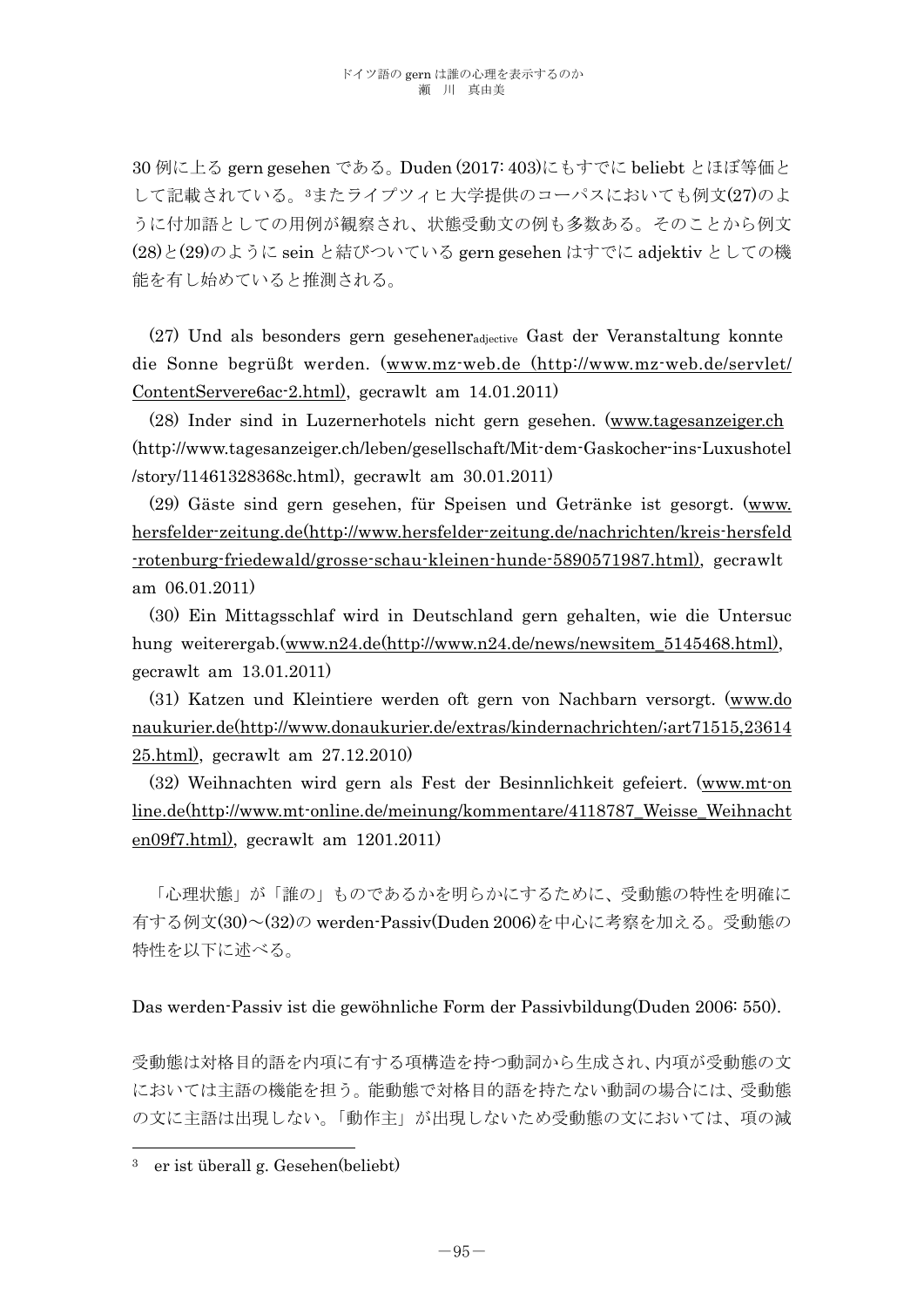30 例に上る gern gesehen である。Duden (2017: 403)にもすでに beliebt とほぼ等価と して記載されている。3またライプツィヒ大学提供のコーパスにおいても例文(27)のよ うに付加語としての用例が観察され、状態受動文の例も多数ある。そのことから例文 (28)と(29)のように sein と結びついている gern gesehen はすでに adjektiv としての機 能を有し始めていると推測される。

 (27) Und als besonders gern geseheneradjective Gast der Veranstaltung konnte die Sonne begrüßt werden. (www.mz-web.de (http://www.mz-web.de/servlet/ ContentServere6ac-2.html), gecrawlt am 14.01.2011)

 (28) Inder sind in Luzernerhotels nicht gern gesehen. (www.tagesanzeiger.ch (http://www.tagesanzeiger.ch/leben/gesellschaft/Mit-dem-Gaskocher-ins-Luxushotel /story/11461328368c.html), gecrawlt am 30.01.2011)

 (29) Gäste sind gern gesehen, für Speisen und Getränke ist gesorgt. (www. hersfelder-zeitung.de(http://www.hersfelder-zeitung.de/nachrichten/kreis-hersfeld -rotenburg-friedewald/grosse-schau-kleinen-hunde-5890571987.html), gecrawlt am 06.01.2011)

 (30) Ein Mittagsschlaf wird in Deutschland gern gehalten, wie die Untersuc hung weiterergab.(www.n24.de(http://www.n24.de/news/newsitem\_5145468.html), gecrawlt am 13.01.2011)

(31) Katzen und Kleintiere werden oft gern von Nachbarn versorgt. (www.do naukurier.de(http://www.donaukurier.de/extras/kindernachrichten/;art71515,23614 25.html), gecrawlt am 27.12.2010)

(32) Weihnachten wird gern als Fest der Besinnlichkeit gefeiert. (www.mt-on line.de(http://www.mt-online.de/meinung/kommentare/4118787\_Weisse\_Weihnacht en09f7.html), gecrawlt am 1201.2011)

 「心理状態」が「誰の」ものであるかを明らかにするために、受動態の特性を明確に 有する例文(30)~(32)の werden-Passiv(Duden 2006)を中心に考察を加える。受動態の 特性を以下に述べる。

Das werden-Passiv ist die gewöhnliche Form der Passivbildung(Duden 2006: 550).

受動態は対格目的語を内項に有する項構造を持つ動詞から生成され、内項が受動態の文 においては主語の機能を担う。能動態で対格目的語を持たない動詞の場合には、受動態 の文に主語は出現しない。「動作主」が出現しないため受動態の文においては、項の減

 $\overline{a}$ 

<sup>3</sup> er ist überall g. Gesehen(beliebt)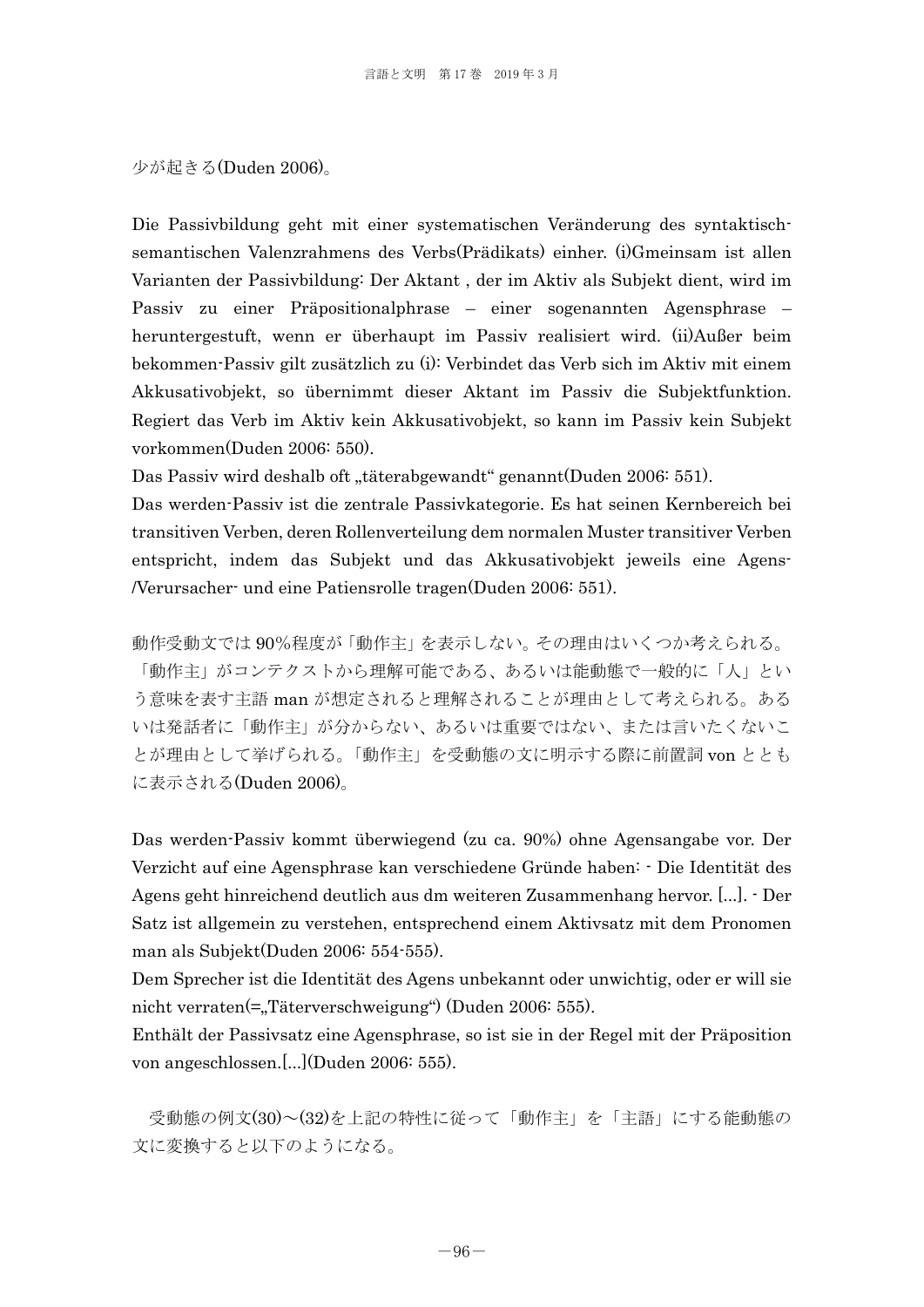少が起きる(Duden 2006)。

Die Passivbildung geht mit einer systematischen Veränderung des syntaktischsemantischen Valenzrahmens des Verbs(Prädikats) einher. (i)Gmeinsam ist allen Varianten der Passivbildung: Der Aktant , der im Aktiv als Subjekt dient, wird im Passiv zu einer Präpositionalphrase – einer sogenannten Agensphrase – heruntergestuft, wenn er überhaupt im Passiv realisiert wird. (ii)Außer beim bekommen-Passiv gilt zusätzlich zu (i): Verbindet das Verb sich im Aktiv mit einem Akkusativobjekt, so übernimmt dieser Aktant im Passiv die Subjektfunktion. Regiert das Verb im Aktiv kein Akkusativobjekt, so kann im Passiv kein Subjekt vorkommen(Duden 2006: 550).

Das Passiv wird deshalb oft "täterabgewandt" genannt(Duden 2006: 551).

Das werden-Passiv ist die zentrale Passivkategorie. Es hat seinen Kernbereich bei transitiven Verben, deren Rollenverteilung dem normalen Muster transitiver Verben entspricht, indem das Subjekt und das Akkusativobjekt jeweils eine Agens- /Verursacher- und eine Patiensrolle tragen(Duden 2006: 551).

動作受動文では 90%程度が「動作主」を表示しない。その理由はいくつか考えられる。 「動作主」がコンテクストから理解可能である、あるいは能動態で一般的に「人」とい う意味を表す主語 man が想定されると理解されることが理由として考えられる。ある いは発話者に「動作主」が分からない、あるいは重要ではない、または言いたくないこ とが理由として挙げられる。「動作主」を受動態の文に明示する際に前置詞 von ととも に表示される(Duden 2006)。

Das werden-Passiv kommt überwiegend (zu ca. 90%) ohne Agensangabe vor. Der Verzicht auf eine Agensphrase kan verschiedene Gründe haben: - Die Identität des Agens geht hinreichend deutlich aus dm weiteren Zusammenhang hervor. [...]. - Der Satz ist allgemein zu verstehen, entsprechend einem Aktivsatz mit dem Pronomen man als Subjekt(Duden 2006: 554-555).

Dem Sprecher ist die Identität des Agens unbekannt oder unwichtig, oder er will sie nicht verraten(=,Täterverschweigung") (Duden 2006: 555).

Enthält der Passivsatz eine Agensphrase, so ist sie in der Regel mit der Präposition von angeschlossen.[...](Duden 2006: 555).

 受動態の例文(30)~(32)を上記の特性に従って「動作主」を「主語」にする能動態の 文に変換すると以下のようになる。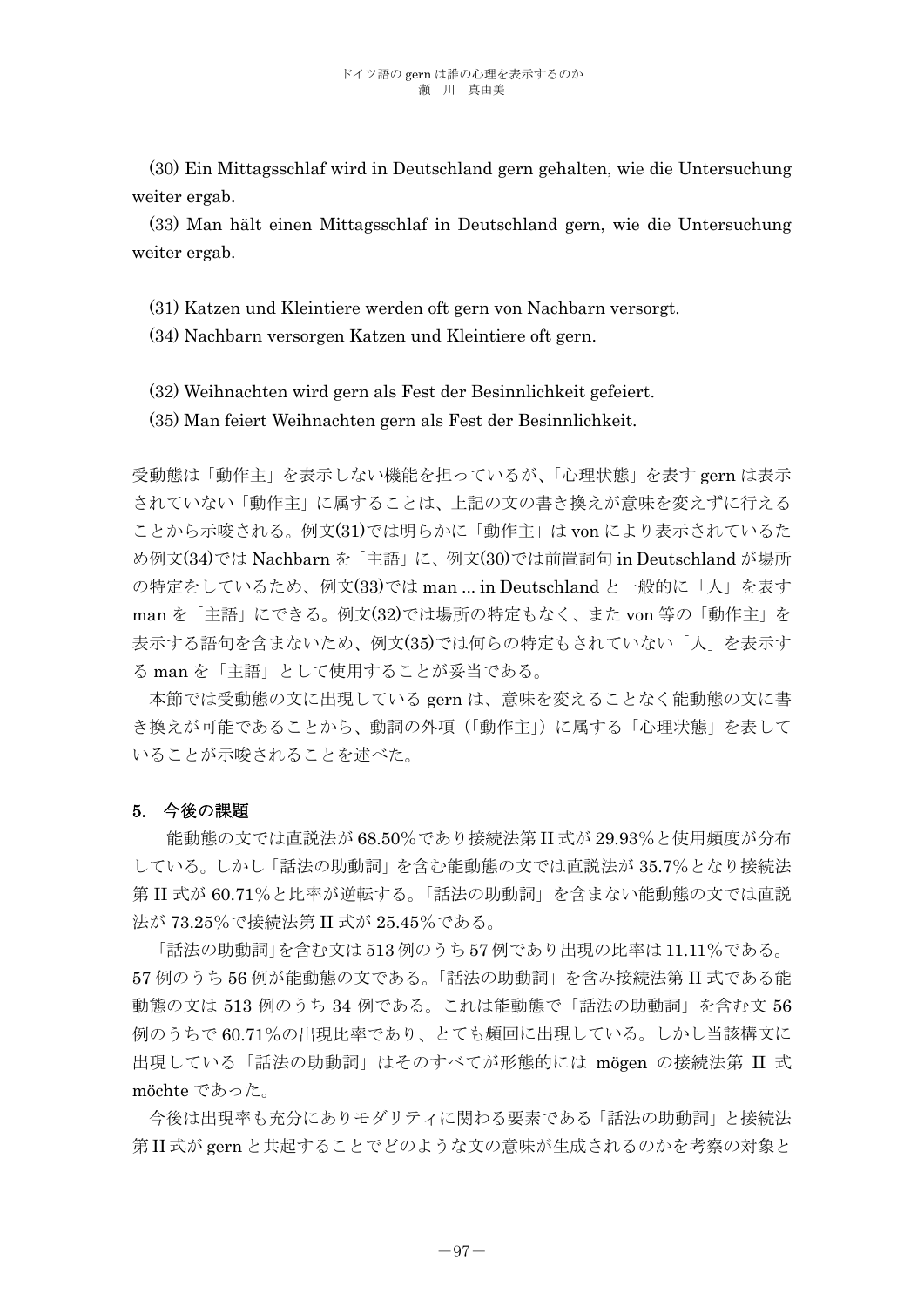(30) Ein Mittagsschlaf wird in Deutschland gern gehalten, wie die Untersuchung weiter ergab.

 (33) Man hält einen Mittagsschlaf in Deutschland gern, wie die Untersuchung weiter ergab.

(31) Katzen und Kleintiere werden oft gern von Nachbarn versorgt.

(34) Nachbarn versorgen Katzen und Kleintiere oft gern.

(32) Weihnachten wird gern als Fest der Besinnlichkeit gefeiert.

(35) Man feiert Weihnachten gern als Fest der Besinnlichkeit.

受動態は「動作主」を表示しない機能を担っているが、「心理状態」を表す gern は表示 されていない「動作主」に属することは、上記の文の書き換えが意味を変えずに行える ことから示唆される。例文(31)では明らかに「動作主」は von により表示されているた め例文(34)では Nachbarn を「主語」に、例文(30)では前置詞句 in Deutschland が場所 の特定をしているため、例文(33)では man ... in Deutschland と一般的に「人」を表す man を「主語」にできる。例文(32)では場所の特定もなく、また von 等の「動作主」を 表示する語句を含まないため、例文(35)では何らの特定もされていない「人」を表示す る man を「主語」として使用することが妥当である。

 本節では受動態の文に出現している gern は、意味を変えることなく能動態の文に書 き換えが可能であることから、動詞の外項(「動作主」)に属する「心理状態」を表して いることが示唆されることを述べた。

## 5. 今後の課題

 能動態の文では直説法が 68.50%であり接続法第 II 式が 29.93%と使用頻度が分布 している。しかし「話法の助動詞」を含む能動態の文では直説法が 35.7%となり接続法 第 II 式が 60.71%と比率が逆転する。「話法の助動詞」を含まない能動態の文では直説 法が 73.25%で接続法第 II 式が 25.45%である。

「話法の助動詞」を含む文は 513 例のうち 57 例であり出現の比率は 11.11%である。 57 例のうち 56 例が能動態の文である。「話法の助動詞」を含み接続法第 II 式である能 動態の文は 513 例のうち 34 例である。これは能動態で「話法の助動詞」を含む文 56 例のうちで 60.71%の出現比率であり、とても頻回に出現している。しかし当該構文に 出現している「話法の助動詞」はそのすべてが形態的には mögen の接続法第 II 式 möchte であった。

今後は出現率も充分にありモダリティに関わる要素である「話法の助動詞」と接続法 第 II 式が gern と共起することでどのような文の意味が生成されるのかを考察の対象と